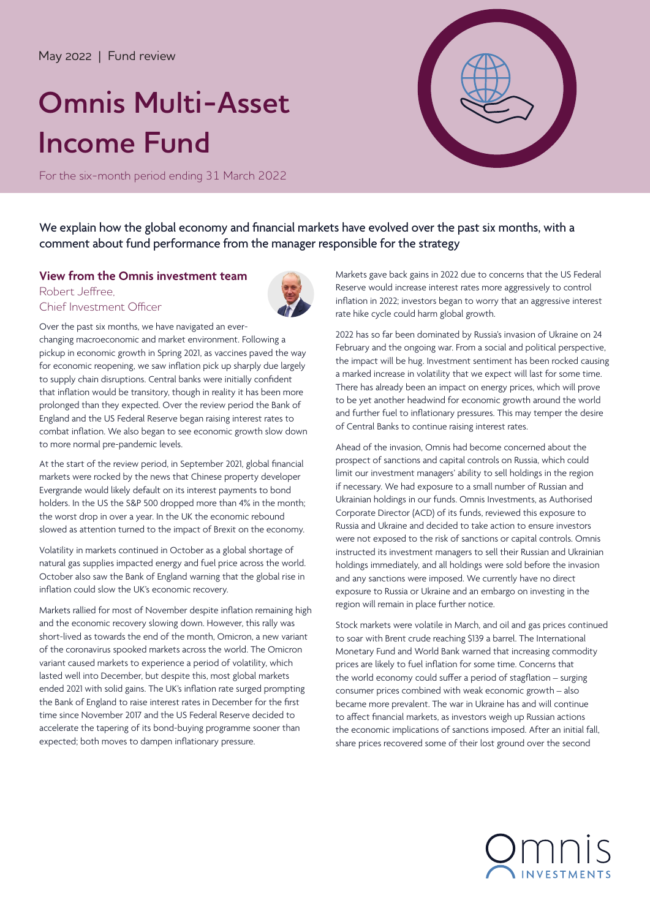# May 2022 | Fund review

# **Omnis Multi-Asset Income Fund**

For the six-month period ending 31 March 2022



We explain how the global economy and financial markets have evolved over the past six months, with a comment about fund performance from the manager responsible for the strategy

## **View from the Omnis investment team**

### Robert Jeffree, Chief Investment Officer



Over the past six months, we have navigated an everchanging macroeconomic and market environment. Following a pickup in economic growth in Spring 2021, as vaccines paved the way for economic reopening, we saw inflation pick up sharply due largely to supply chain disruptions. Central banks were initially confident that inflation would be transitory, though in reality it has been more prolonged than they expected. Over the review period the Bank of England and the US Federal Reserve began raising interest rates to combat inflation. We also began to see economic growth slow down to more normal pre-pandemic levels.

At the start of the review period, in September 2021, global financial markets were rocked by the news that Chinese property developer Evergrande would likely default on its interest payments to bond holders. In the US the S&P 500 dropped more than 4% in the month; the worst drop in over a year. In the UK the economic rebound slowed as attention turned to the impact of Brexit on the economy.

Volatility in markets continued in October as a global shortage of natural gas supplies impacted energy and fuel price across the world. October also saw the Bank of England warning that the global rise in inflation could slow the UK's economic recovery.

Markets rallied for most of November despite inflation remaining high and the economic recovery slowing down. However, this rally was short-lived as towards the end of the month, Omicron, a new variant of the coronavirus spooked markets across the world. The Omicron variant caused markets to experience a period of volatility, which lasted well into December, but despite this, most global markets ended 2021 with solid gains. The UK's inflation rate surged prompting the Bank of England to raise interest rates in December for the first time since November 2017 and the US Federal Reserve decided to accelerate the tapering of its bond-buying programme sooner than expected; both moves to dampen inflationary pressure.

Markets gave back gains in 2022 due to concerns that the US Federal Reserve would increase interest rates more aggressively to control inflation in 2022; investors began to worry that an aggressive interest rate hike cycle could harm global growth.

2022 has so far been dominated by Russia's invasion of Ukraine on 24 February and the ongoing war. From a social and political perspective, the impact will be hug. Investment sentiment has been rocked causing a marked increase in volatility that we expect will last for some time. There has already been an impact on energy prices, which will prove to be yet another headwind for economic growth around the world and further fuel to inflationary pressures. This may temper the desire of Central Banks to continue raising interest rates.

Ahead of the invasion, Omnis had become concerned about the prospect of sanctions and capital controls on Russia, which could limit our investment managers' ability to sell holdings in the region if necessary. We had exposure to a small number of Russian and Ukrainian holdings in our funds. Omnis Investments, as Authorised Corporate Director (ACD) of its funds, reviewed this exposure to Russia and Ukraine and decided to take action to ensure investors were not exposed to the risk of sanctions or capital controls. Omnis instructed its investment managers to sell their Russian and Ukrainian holdings immediately, and all holdings were sold before the invasion and any sanctions were imposed. We currently have no direct exposure to Russia or Ukraine and an embargo on investing in the region will remain in place further notice.

Stock markets were volatile in March, and oil and gas prices continued to soar with Brent crude reaching \$139 a barrel. The International Monetary Fund and World Bank warned that increasing commodity prices are likely to fuel inflation for some time. Concerns that the world economy could suffer a period of stagflation – surging consumer prices combined with weak economic growth – also became more prevalent. The war in Ukraine has and will continue to affect financial markets, as investors weigh up Russian actions the economic implications of sanctions imposed. After an initial fall, share prices recovered some of their lost ground over the second

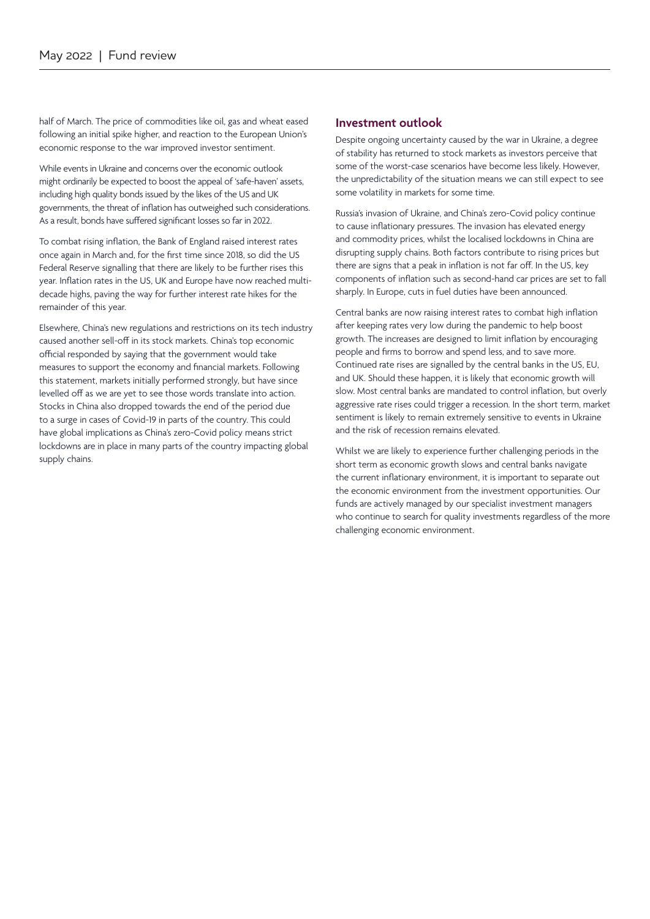half of March. The price of commodities like oil, gas and wheat eased following an initial spike higher, and reaction to the European Union's economic response to the war improved investor sentiment.

While events in Ukraine and concerns over the economic outlook might ordinarily be expected to boost the appeal of 'safe-haven' assets, including high quality bonds issued by the likes of the US and UK governments, the threat of inflation has outweighed such considerations. As a result, bonds have suffered significant losses so far in 2022.

To combat rising inflation, the Bank of England raised interest rates once again in March and, for the first time since 2018, so did the US Federal Reserve signalling that there are likely to be further rises this year. Inflation rates in the US, UK and Europe have now reached multidecade highs, paving the way for further interest rate hikes for the remainder of this year.

Elsewhere, China's new regulations and restrictions on its tech industry caused another sell-off in its stock markets. China's top economic official responded by saying that the government would take measures to support the economy and financial markets. Following this statement, markets initially performed strongly, but have since levelled off as we are yet to see those words translate into action. Stocks in China also dropped towards the end of the period due to a surge in cases of Covid-19 in parts of the country. This could have global implications as China's zero-Covid policy means strict lockdowns are in place in many parts of the country impacting global supply chains.

#### **Investment outlook**

Despite ongoing uncertainty caused by the war in Ukraine, a degree of stability has returned to stock markets as investors perceive that some of the worst-case scenarios have become less likely. However, the unpredictability of the situation means we can still expect to see some volatility in markets for some time.

Russia's invasion of Ukraine, and China's zero-Covid policy continue to cause inflationary pressures. The invasion has elevated energy and commodity prices, whilst the localised lockdowns in China are disrupting supply chains. Both factors contribute to rising prices but there are signs that a peak in inflation is not far off. In the US, key components of inflation such as second-hand car prices are set to fall sharply. In Europe, cuts in fuel duties have been announced.

Central banks are now raising interest rates to combat high inflation after keeping rates very low during the pandemic to help boost growth. The increases are designed to limit inflation by encouraging people and firms to borrow and spend less, and to save more. Continued rate rises are signalled by the central banks in the US, EU, and UK. Should these happen, it is likely that economic growth will slow. Most central banks are mandated to control inflation, but overly aggressive rate rises could trigger a recession. In the short term, market sentiment is likely to remain extremely sensitive to events in Ukraine and the risk of recession remains elevated.

Whilst we are likely to experience further challenging periods in the short term as economic growth slows and central banks navigate the current inflationary environment, it is important to separate out the economic environment from the investment opportunities. Our funds are actively managed by our specialist investment managers who continue to search for quality investments regardless of the more challenging economic environment.